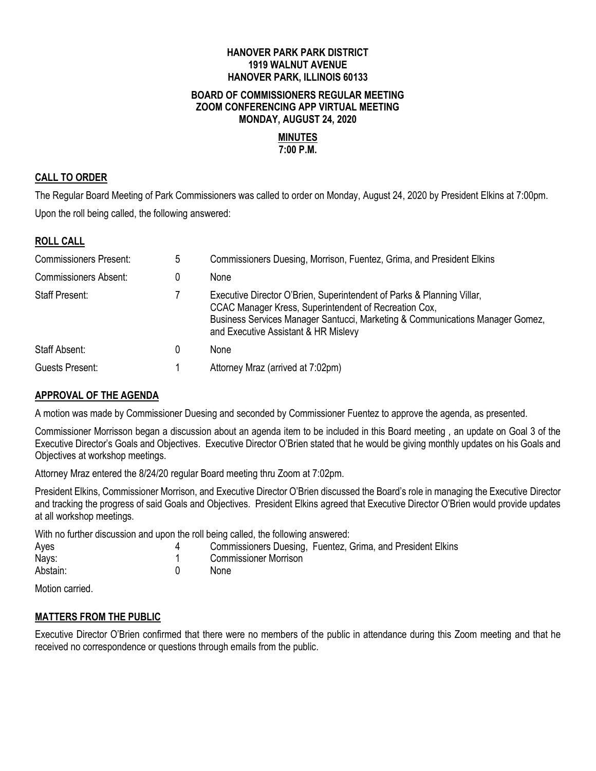## **HANOVER PARK PARK DISTRICT 1919 WALNUT AVENUE HANOVER PARK, ILLINOIS 60133**

#### **BOARD OF COMMISSIONERS REGULAR MEETING ZOOM CONFERENCING APP VIRTUAL MEETING MONDAY, AUGUST 24, 2020**

# **MINUTES**

# **7:00 P.M.**

## **CALL TO ORDER**

The Regular Board Meeting of Park Commissioners was called to order on Monday, August 24, 2020 by President Elkins at 7:00pm. Upon the roll being called, the following answered:

## **ROLL CALL**

| <b>Commissioners Present:</b> | 5 | Commissioners Duesing, Morrison, Fuentez, Grima, and President Elkins                                                                                                                                                                                    |
|-------------------------------|---|----------------------------------------------------------------------------------------------------------------------------------------------------------------------------------------------------------------------------------------------------------|
| <b>Commissioners Absent:</b>  |   | None                                                                                                                                                                                                                                                     |
| <b>Staff Present:</b>         |   | Executive Director O'Brien, Superintendent of Parks & Planning Villar,<br>CCAC Manager Kress, Superintendent of Recreation Cox,<br>Business Services Manager Santucci, Marketing & Communications Manager Gomez,<br>and Executive Assistant & HR Mislevy |
| Staff Absent:                 |   | None                                                                                                                                                                                                                                                     |
| Guests Present:               |   | Attorney Mraz (arrived at 7:02pm)                                                                                                                                                                                                                        |

# **APPROVAL OF THE AGENDA**

A motion was made by Commissioner Duesing and seconded by Commissioner Fuentez to approve the agenda, as presented.

Commissioner Morrisson began a discussion about an agenda item to be included in this Board meeting , an update on Goal 3 of the Executive Director's Goals and Objectives. Executive Director O'Brien stated that he would be giving monthly updates on his Goals and Objectives at workshop meetings.

Attorney Mraz entered the 8/24/20 regular Board meeting thru Zoom at 7:02pm.

President Elkins, Commissioner Morrison, and Executive Director O'Brien discussed the Board's role in managing the Executive Director and tracking the progress of said Goals and Objectives. President Elkins agreed that Executive Director O'Brien would provide updates at all workshop meetings.

With no further discussion and upon the roll being called, the following answered:

| Ayes     | Commissioners Duesing, Fuentez, Grima, and President Elkins |
|----------|-------------------------------------------------------------|
| Nays:    | Commissioner Morrison                                       |
| Abstain: | None                                                        |

Motion carried.

### **MATTERS FROM THE PUBLIC**

Executive Director O'Brien confirmed that there were no members of the public in attendance during this Zoom meeting and that he received no correspondence or questions through emails from the public.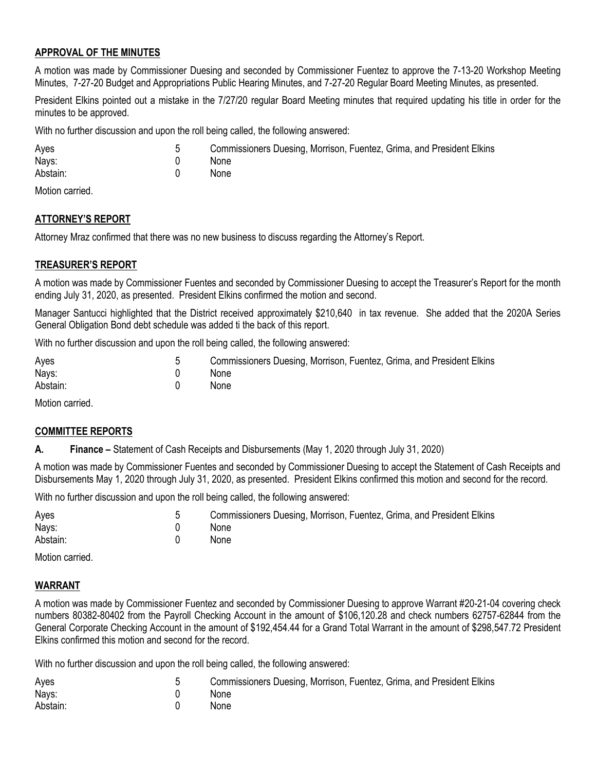## **APPROVAL OF THE MINUTES**

A motion was made by Commissioner Duesing and seconded by Commissioner Fuentez to approve the 7-13-20 Workshop Meeting Minutes, 7-27-20 Budget and Appropriations Public Hearing Minutes, and 7-27-20 Regular Board Meeting Minutes, as presented.

President Elkins pointed out a mistake in the 7/27/20 regular Board Meeting minutes that required updating his title in order for the minutes to be approved.

With no further discussion and upon the roll being called, the following answered:

| Ayes     | Commissioners Duesing, Morrison, Fuentez, Grima, and President Elkins |
|----------|-----------------------------------------------------------------------|
| Nays:    | None                                                                  |
| Abstain: | None                                                                  |

Motion carried.

#### **ATTORNEY'S REPORT**

Attorney Mraz confirmed that there was no new business to discuss regarding the Attorney's Report.

#### **TREASURER'S REPORT**

A motion was made by Commissioner Fuentes and seconded by Commissioner Duesing to accept the Treasurer's Report for the month ending July 31, 2020, as presented. President Elkins confirmed the motion and second.

Manager Santucci highlighted that the District received approximately \$210,640 in tax revenue. She added that the 2020A Series General Obligation Bond debt schedule was added ti the back of this report.

With no further discussion and upon the roll being called, the following answered:

| Ayes     | Commissioners Duesing, Morrison, Fuentez, Grima, and President Elkins |
|----------|-----------------------------------------------------------------------|
| Nays:    | <b>None</b>                                                           |
| Abstain: | <b>None</b>                                                           |

Motion carried.

#### **COMMITTEE REPORTS**

**A. Finance –** Statement of Cash Receipts and Disbursements (May 1, 2020 through July 31, 2020)

A motion was made by Commissioner Fuentes and seconded by Commissioner Duesing to accept the Statement of Cash Receipts and Disbursements May 1, 2020 through July 31, 2020, as presented. President Elkins confirmed this motion and second for the record.

With no further discussion and upon the roll being called, the following answered:

| Ayes     | Commissioners Duesing, Morrison, Fuentez, Grima, and President Elkins |
|----------|-----------------------------------------------------------------------|
| Nays:    | <b>None</b>                                                           |
| Abstain: | <b>None</b>                                                           |

Motion carried.

#### **WARRANT**

A motion was made by Commissioner Fuentez and seconded by Commissioner Duesing to approve Warrant #20-21-04 covering check numbers 80382-80402 from the Payroll Checking Account in the amount of \$106,120.28 and check numbers 62757-62844 from the General Corporate Checking Account in the amount of \$192,454.44 for a Grand Total Warrant in the amount of \$298,547.72 President Elkins confirmed this motion and second for the record.

With no further discussion and upon the roll being called, the following answered:

| Ayes     | Commissioners Duesing, Morrison, Fuentez, Grima, and President Elkins |
|----------|-----------------------------------------------------------------------|
| Nays:    | None                                                                  |
| Abstain: | None                                                                  |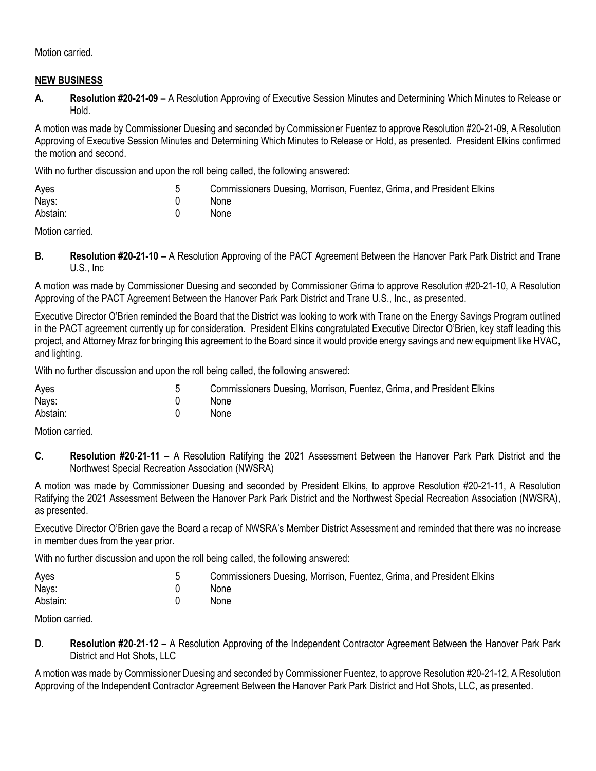Motion carried.

## **NEW BUSINESS**

**A. Resolution #20-21-09 –** A Resolution Approving of Executive Session Minutes and Determining Which Minutes to Release or Hold.

A motion was made by Commissioner Duesing and seconded by Commissioner Fuentez to approve Resolution #20-21-09, A Resolution Approving of Executive Session Minutes and Determining Which Minutes to Release or Hold, as presented. President Elkins confirmed the motion and second.

With no further discussion and upon the roll being called, the following answered:

| Ayes     | Commissioners Duesing, Morrison, Fuentez, Grima, and President Elkins |
|----------|-----------------------------------------------------------------------|
| Nays:    | None                                                                  |
| Abstain: | None                                                                  |

Motion carried.

**B. Resolution #20-21-10 –** A Resolution Approving of the PACT Agreement Between the Hanover Park Park District and Trane U.S., Inc

A motion was made by Commissioner Duesing and seconded by Commissioner Grima to approve Resolution #20-21-10, A Resolution Approving of the PACT Agreement Between the Hanover Park Park District and Trane U.S., Inc., as presented.

Executive Director O'Brien reminded the Board that the District was looking to work with Trane on the Energy Savings Program outlined in the PACT agreement currently up for consideration. President Elkins congratulated Executive Director O'Brien, key staff leading this project, and Attorney Mraz for bringing this agreement to the Board since it would provide energy savings and new equipment like HVAC, and lighting.

With no further discussion and upon the roll being called, the following answered:

| Ayes     | Commissioners Duesing, Morrison, Fuentez, Grima, and President Elkins |
|----------|-----------------------------------------------------------------------|
| Nays:    | None                                                                  |
| Abstain: | None                                                                  |

Motion carried.

**C. Resolution #20-21-11 –** A Resolution Ratifying the 2021 Assessment Between the Hanover Park Park District and the Northwest Special Recreation Association (NWSRA)

A motion was made by Commissioner Duesing and seconded by President Elkins, to approve Resolution #20-21-11, A Resolution Ratifying the 2021 Assessment Between the Hanover Park Park District and the Northwest Special Recreation Association (NWSRA), as presented.

Executive Director O'Brien gave the Board a recap of NWSRA's Member District Assessment and reminded that there was no increase in member dues from the year prior.

With no further discussion and upon the roll being called, the following answered:

| Ayes     | Commissioners Duesing, Morrison, Fuentez, Grima, and President Elkins |
|----------|-----------------------------------------------------------------------|
| Nays:    | <b>None</b>                                                           |
| Abstain: | None                                                                  |

Motion carried.

**D. Resolution #20-21-12 –** A Resolution Approving of the Independent Contractor Agreement Between the Hanover Park Park District and Hot Shots, LLC

A motion was made by Commissioner Duesing and seconded by Commissioner Fuentez, to approve Resolution #20-21-12, A Resolution Approving of the Independent Contractor Agreement Between the Hanover Park Park District and Hot Shots, LLC, as presented.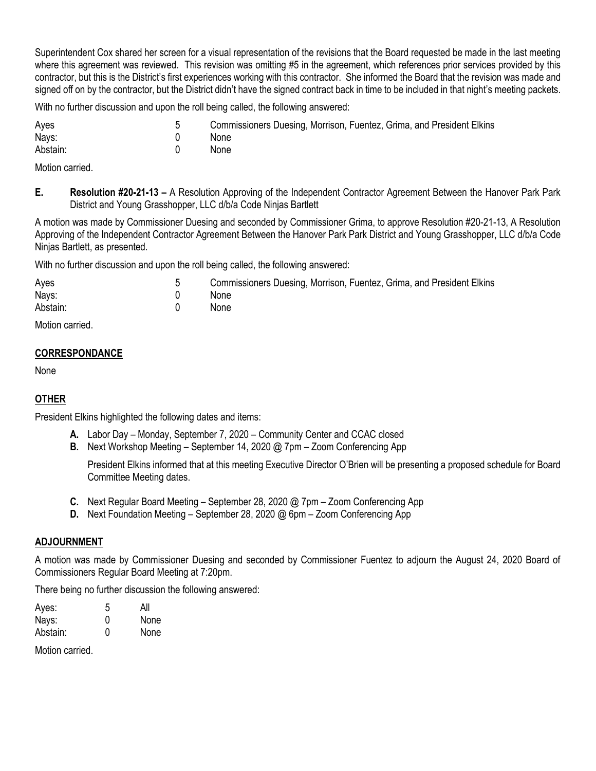Superintendent Cox shared her screen for a visual representation of the revisions that the Board requested be made in the last meeting where this agreement was reviewed. This revision was omitting #5 in the agreement, which references prior services provided by this contractor, but this is the District's first experiences working with this contractor. She informed the Board that the revision was made and signed off on by the contractor, but the District didn't have the signed contract back in time to be included in that night's meeting packets.

With no further discussion and upon the roll being called, the following answered:

| Ayes     | Commissioners Duesing, Morrison, Fuentez, Grima, and President Elkins |
|----------|-----------------------------------------------------------------------|
| Nays:    | <b>None</b>                                                           |
| Abstain: | <b>None</b>                                                           |

Motion carried.

**E. Resolution #20-21-13 –** A Resolution Approving of the Independent Contractor Agreement Between the Hanover Park Park District and Young Grasshopper, LLC d/b/a Code Ninjas Bartlett

A motion was made by Commissioner Duesing and seconded by Commissioner Grima, to approve Resolution #20-21-13, A Resolution Approving of the Independent Contractor Agreement Between the Hanover Park Park District and Young Grasshopper, LLC d/b/a Code Ninjas Bartlett, as presented.

With no further discussion and upon the roll being called, the following answered:

| Ayes     | Commissioners Duesing, Morrison, Fuentez, Grima, and President Elkins |
|----------|-----------------------------------------------------------------------|
| Nays:    | <b>None</b>                                                           |
| Abstain: | <b>None</b>                                                           |

Motion carried.

## **CORRESPONDANCE**

None

# **OTHER**

President Elkins highlighted the following dates and items:

- **A.** Labor Day Monday, September 7, 2020 Community Center and CCAC closed
- **B.** Next Workshop Meeting September 14, 2020 @ 7pm Zoom Conferencing App

President Elkins informed that at this meeting Executive Director O'Brien will be presenting a proposed schedule for Board Committee Meeting dates.

- **C.** Next Regular Board Meeting September 28, 2020 @ 7pm Zoom Conferencing App
- **D.** Next Foundation Meeting September 28, 2020 @ 6pm Zoom Conferencing App

# **ADJOURNMENT**

A motion was made by Commissioner Duesing and seconded by Commissioner Fuentez to adjourn the August 24, 2020 Board of Commissioners Regular Board Meeting at 7:20pm.

There being no further discussion the following answered:

| 5 | All  |
|---|------|
| O | None |
| 0 | None |
|   |      |

Motion carried.